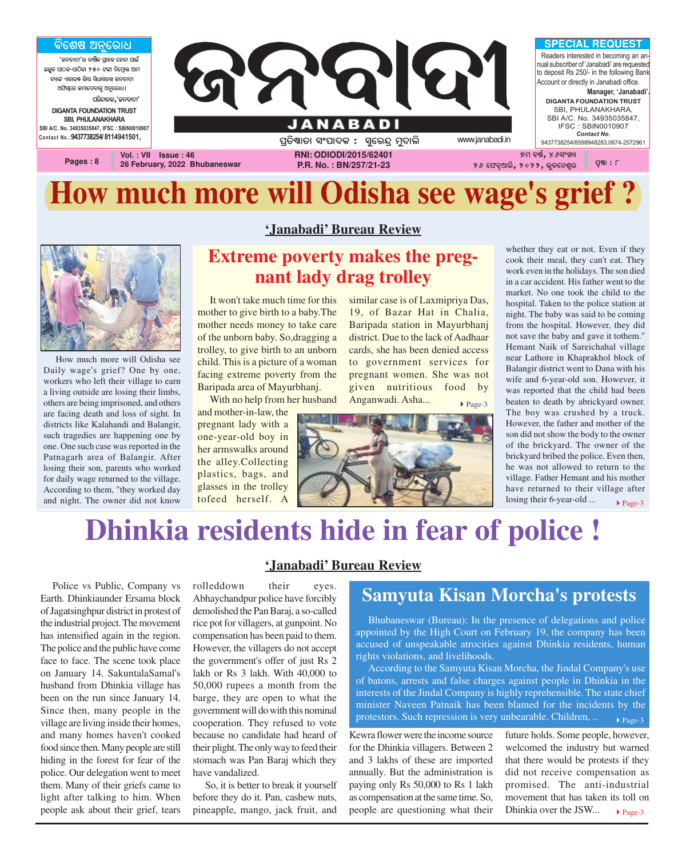

# **How much more will Odisha see wage's grief ?**



How much more will Odisha see Daily wage's grief? One by one, workers who left their village to earn a living outside are losing their limbs, others are being imprisoned, and others are facing death and loss of sight. In districts like Kalahandi and Balangir, such tragedies are happening one by one. One such case was reported in the Patnagarh area of Balangir. After losing their son, parents who worked for daily wage returned to the village. According to them, "they worked day and night. The owner did not know

### **'Janabadi' Bureau Review**

### **Extreme poverty makes the pregnant lady drag trolley**

It won't take much time for this mother to give birth to a baby.The mother needs money to take care of the unborn baby. So,dragging a trolley, to give birth to an unborn child. This is a picture of a woman facing extreme poverty from the Baripada area of Mayurbhanj.

With no help from her husband

and mother-in-law, the pregnant lady with a one-year-old boy in her armswalks around the alley.Collecting plastics, bags, and glasses in the trolley tofeed herself. A

similar case is of Laxmipriya Das, 19, of Bazar Hat in Chalia, Baripada station in Mayurbhanj district. Due to the lack of Aadhaar cards, she has been denied access to government services for pregnant women. She was not given nutritious food by Anganwadi. Asha...  $P$ age-3



whether they eat or not. Even if they cook their meal, they can't eat. They work even in the holidays. The son died in a car accident. His father went to the market. No one took the child to the hospital. Taken to the police station at night. The baby was said to be coming from the hospital. However, they did not save the baby and gave it tothem." Hemant Naik of Sareichahal village near Lathore in Khaprakhol block of Balangir district went to Dana with his wife and 6-year-old son. However, it was reported that the child had been beaten to death by abrickyard owner. The boy was crushed by a truck. However, the father and mother of the son did not show the body to the owner of the brickyard. The owner of the brickyard bribed the police. Even then, he was not allowed to return to the village. Father Hemant and his mother have returned to their village after losing their 6-year-old ...

### $\blacktriangleright$  Page-3

## **Dhinkia residents hide in fear of police !**

Police vs Public, Company vs Earth. Dhinkiaunder Ersama block of Jagatsinghpur district in protest of the industrial project. The movement has intensified again in the region. The police and the public have come face to face. The scene took place on January 14. SakuntalaSamal's husband from Dhinkia village has been on the run since January 14. Since then, many people in the village are living inside their homes, and many homes haven't cooked food since then. Many people are still hiding in the forest for fear of the police. Our delegation went to meet them. Many of their griefs came to light after talking to him. When people ask about their grief, tears **'Janabadi' Bureau Review**

rolleddown their eyes. Abhaychandpur police have forcibly demolished the Pan Baraj, a so-called rice pot for villagers, at gunpoint. No compensation has been paid to them. However, the villagers do not accept the government's offer of just Rs 2 lakh or Rs 3 lakh. With 40,000 to 50,000 rupees a month from the barge, they are open to what the government will do with this nominal cooperation. They refused to vote because no candidate had heard of their plight. The only way to feed their stomach was Pan Baraj which they have vandalized.

So, it is better to break it yourself before they do it. Pan, cashew nuts, pineapple, mango, jack fruit, and

### **Samyuta Kisan Morcha's protests**

Bhubaneswar (Bureau): In the presence of delegations and police appointed by the High Court on February 19, the company has been accused of unspeakable atrocities against Dhinkia residents, human rights violations, and livelihoods.

According to the Samyuta Kisan Morcha, the Jindal Company's use of batons, arrests and false charges against people in Dhinkia in the interests of the Jindal Company is highly reprehensible. The state chief minister Naveen Patnaik has been blamed for the incidents by the protestors. Such repression is very unbearable. Children, ..  $\rightarrow$  Page-3

Kewra flower were the income source for the Dhinkia villagers. Between 2 and 3 lakhs of these are imported annually. But the administration is paying only Rs 50,000 to Rs 1 lakh as compensation at the same time. So, people are questioning what their

 $\blacktriangleright$  Page-3 future holds. Some people, however, welcomed the industry but warned that there would be protests if they did not receive compensation as promised. The anti-industrial movement that has taken its toll on Dhinkia over the JSW...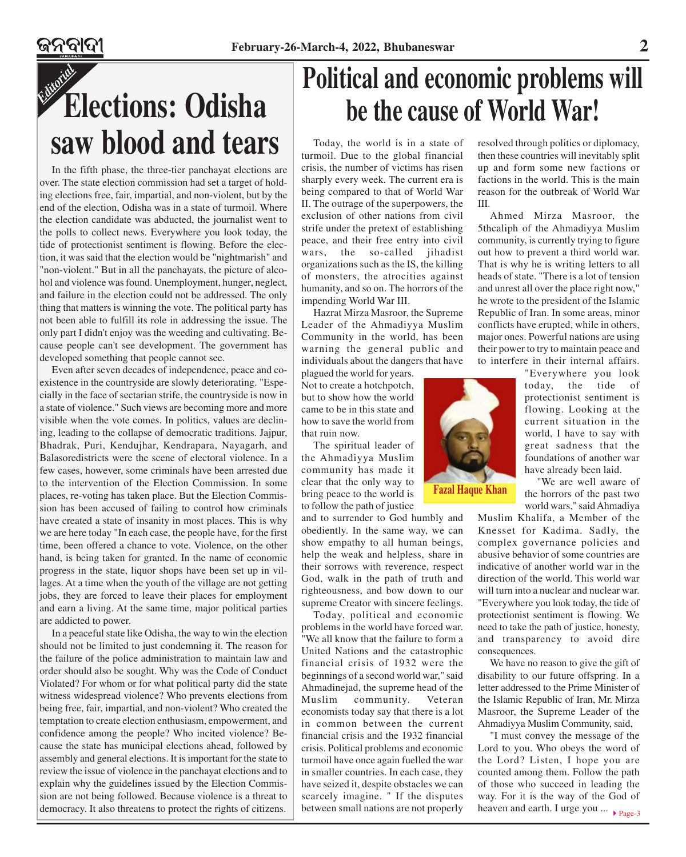# *Editorial* **Elections: Odisha saw blood and tears**

In the fifth phase, the three-tier panchayat elections are over. The state election commission had set a target of holding elections free, fair, impartial, and non-violent, but by the end of the election, Odisha was in a state of turmoil. Where the election candidate was abducted, the journalist went to the polls to collect news. Everywhere you look today, the tide of protectionist sentiment is flowing. Before the election, it was said that the election would be "nightmarish" and "non-violent." But in all the panchayats, the picture of alcohol and violence was found. Unemployment, hunger, neglect, and failure in the election could not be addressed. The only thing that matters is winning the vote. The political party has not been able to fulfill its role in addressing the issue. The only part I didn't enjoy was the weeding and cultivating. Because people can't see development. The government has developed something that people cannot see.

Even after seven decades of independence, peace and coexistence in the countryside are slowly deteriorating. "Especially in the face of sectarian strife, the countryside is now in a state of violence." Such views are becoming more and more visible when the vote comes. In politics, values are declining, leading to the collapse of democratic traditions. Jajpur, Bhadrak, Puri, Kendujhar, Kendrapara, Nayagarh, and Balasoredistricts were the scene of electoral violence. In a few cases, however, some criminals have been arrested due to the intervention of the Election Commission. In some places, re-voting has taken place. But the Election Commission has been accused of failing to control how criminals have created a state of insanity in most places. This is why we are here today "In each case, the people have, for the first time, been offered a chance to vote. Violence, on the other hand, is being taken for granted. In the name of economic progress in the state, liquor shops have been set up in villages. At a time when the youth of the village are not getting jobs, they are forced to leave their places for employment and earn a living. At the same time, major political parties are addicted to power.

In a peaceful state like Odisha, the way to win the election should not be limited to just condemning it. The reason for the failure of the police administration to maintain law and order should also be sought. Why was the Code of Conduct Violated? For whom or for what political party did the state witness widespread violence? Who prevents elections from being free, fair, impartial, and non-violent? Who created the temptation to create election enthusiasm, empowerment, and confidence among the people? Who incited violence? Because the state has municipal elections ahead, followed by assembly and general elections. It is important for the state to review the issue of violence in the panchayat elections and to explain why the guidelines issued by the Election Commission are not being followed. Because violence is a threat to democracy. It also threatens to protect the rights of citizens.

# **Political and economic problems will be the cause of World War!**

Today, the world is in a state of turmoil. Due to the global financial crisis, the number of victims has risen sharply every week. The current era is being compared to that of World War II. The outrage of the superpowers, the exclusion of other nations from civil strife under the pretext of establishing peace, and their free entry into civil wars, the so-called jihadist organizations such as the IS, the killing of monsters, the atrocities against humanity, and so on. The horrors of the impending World War III.

Hazrat Mirza Masroor, the Supreme Leader of the Ahmadiyya Muslim Community in the world, has been warning the general public and individuals about the dangers that have

plagued the world for years. Not to create a hotchpotch, but to show how the world came to be in this state and how to save the world from that ruin now.

The spiritual leader of the Ahmadiyya Muslim community has made it clear that the only way to bring peace to the world is to follow the path of justice

and to surrender to God humbly and obediently. In the same way, we can show empathy to all human beings, help the weak and helpless, share in their sorrows with reverence, respect God, walk in the path of truth and righteousness, and bow down to our supreme Creator with sincere feelings.

Today, political and economic problems in the world have forced war. "We all know that the failure to form a United Nations and the catastrophic financial crisis of 1932 were the beginnings of a second world war," said Ahmadinejad, the supreme head of the Muslim community. Veteran economists today say that there is a lot in common between the current financial crisis and the 1932 financial crisis. Political problems and economic turmoil have once again fuelled the war in smaller countries. In each case, they have seized it, despite obstacles we can scarcely imagine. " If the disputes between small nations are not properly

resolved through politics or diplomacy, then these countries will inevitably split up and form some new factions or factions in the world. This is the main reason for the outbreak of World War III.

Ahmed Mirza Masroor, the 5thcaliph of the Ahmadiyya Muslim community, is currently trying to figure out how to prevent a third world war. That is why he is writing letters to all heads of state. "There is a lot of tension and unrest all over the place right now," he wrote to the president of the Islamic Republic of Iran. In some areas, minor conflicts have erupted, while in others, major ones. Powerful nations are using their power to try to maintain peace and to interfere in their internal affairs.

> "Everywhere you look today, the tide of protectionist sentiment is flowing. Looking at the current situation in the world, I have to say with great sadness that the foundations of another war have already been laid.

"We are well aware of the horrors of the past two world wars," said Ahmadiya

Muslim Khalifa, a Member of the Knesset for Kadima. Sadly, the complex governance policies and abusive behavior of some countries are indicative of another world war in the direction of the world. This world war will turn into a nuclear and nuclear war. "Everywhere you look today, the tide of protectionist sentiment is flowing. We need to take the path of justice, honesty, and transparency to avoid dire consequences.

We have no reason to give the gift of disability to our future offspring. In a letter addressed to the Prime Minister of the Islamic Republic of Iran, Mr. Mirza Masroor, the Supreme Leader of the Ahmadiyya Muslim Community, said,

heaven and earth. I urge you  $\ldots$   $\rightarrow$  Page-3 "I must convey the message of the Lord to you. Who obeys the word of the Lord? Listen, I hope you are counted among them. Follow the path of those who succeed in leading the way. For it is the way of the God of



**Fazal Haque Khan**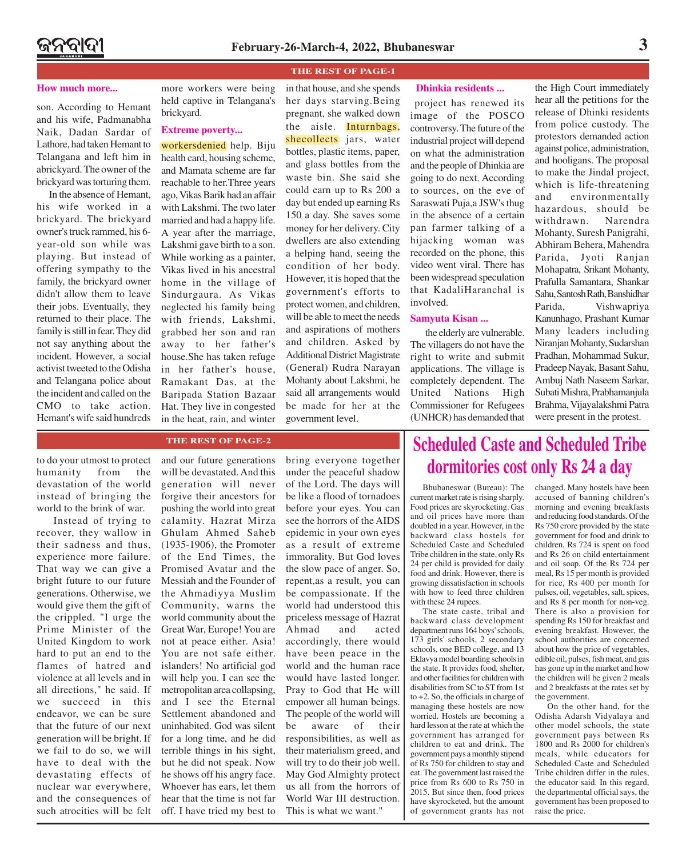**THE REST OF PAGE-1**

son. According to Hemant and his wife, Padmanabha Naik, Dadan Sardar of Lathore, had taken Hemant to Telangana and left him in abrickyard. The owner of the brickyard was torturing them.

In the absence of Hemant, his wife worked in a brickyard. The brickyard owner's truck rammed, his 6 year-old son while was playing. But instead of offering sympathy to the family, the brickyard owner didn't allow them to leave their jobs. Eventually, they returned to their place. The family is still in fear. They did not say anything about the incident. However, a social activist tweeted to the Odisha and Telangana police about the incident and called on the CMO to take action. Hemant's wife said hundreds

**How much more... Dhinkia residents ... Dhinkia residents ...** held captive in Telangana's brickyard.

### **Extreme poverty...**

workersdenied help. Biju health card, housing scheme, and Mamata scheme are far reachable to her.Three years ago, Vikas Barik had an affair with Lakshmi. The two later married and had a happy life. A year after the marriage, Lakshmi gave birth to a son. While working as a painter, Vikas lived in his ancestral home in the village of Sindurgaura. As Vikas neglected his family being with friends, Lakshmi, grabbed her son and ran away to her father's house.She has taken refuge in her father's house, Ramakant Das, at the Baripada Station Bazaar Hat. They live in congested in the heat, rain, and winter in that house, and she spends her days starving.Being pregnant, she walked down the aisle. Inturnbags, shecollects jars, water bottles, plastic items, paper, and glass bottles from the waste bin. She said she could earn up to Rs 200 a day but ended up earning Rs 150 a day. She saves some money for her delivery. City dwellers are also extending a helping hand, seeing the condition of her body. However, it is hoped that the government's efforts to protect women, and children, will be able to meet the needs and aspirations of mothers and children. Asked by Additional District Magistrate (General) Rudra Narayan Mohanty about Lakshmi, he said all arrangements would be made for her at the government level.

project has renewed its image of the POSCO controversy. The future of the industrial project will depend on what the administration and the people of Dhinkia are going to do next. According to sources, on the eve of Saraswati Puja,a JSW's thug in the absence of a certain pan farmer talking of a hijacking woman was recorded on the phone, this video went viral. There has been widespread speculation that KadaliHaranchal is involved.

### **Samyuta Kisan ...**

the elderly are vulnerable. The villagers do not have the right to write and submit applications. The village is completely dependent. The United Nations High Commissioner for Refugees (UNHCR) has demanded that

the High Court immediately hear all the petitions for the release of Dhinki residents from police custody. The protestors demanded action against police, administration, and hooligans. The proposal to make the Jindal project, which is life-threatening and environmentally hazardous, should be withdrawn. Narendra Mohanty, Suresh Panigrahi, Abhiram Behera, Mahendra Parida, Jyoti Ranjan Mohapatra, Srikant Mohanty, Prafulla Samantara, Shankar Sahu, Santosh Rath, Banshidhar Parida, Vishwapriya Kanunhago, Prashant Kumar Many leaders including Niranjan Mohanty, Sudarshan Pradhan, Mohammad Sukur, Pradeep Nayak, Basant Sahu, Ambuj Nath Naseem Sarkar, Subati Mishra, Prabhamanjula Brahma, Vijayalakshmi Patra were present in the protest.

to do your utmost to protect humanity from the devastation of the world instead of bringing the world to the brink of war.

 Instead of trying to recover, they wallow in their sadness and thus, experience more failure. That way we can give a bright future to our future generations. Otherwise, we would give them the gift of the crippled. "I urge the Prime Minister of the United Kingdom to work hard to put an end to the flames of hatred and violence at all levels and in all directions," he said. If we succeed in this endeavor, we can be sure that the future of our next generation will be bright. If we fail to do so, we will have to deal with the devastating effects of nuclear war everywhere, and the consequences of such atrocities will be felt

### **THE REST OF PAGE-2**

and our future generations will be devastated. And this generation will never forgive their ancestors for pushing the world into great calamity. Hazrat Mirza Ghulam Ahmed Saheb (1935-1906), the Promoter of the End Times, the Promised Avatar and the Messiah and the Founder of the Ahmadiyya Muslim Community, warns the world community about the Great War, Europe! You are not at peace either. Asia! You are not safe either. islanders! No artificial god will help you. I can see the metropolitan area collapsing, and I see the Eternal Settlement abandoned and uninhabited. God was silent for a long time, and he did terrible things in his sight, but he did not speak. Now he shows off his angry face. Whoever has ears, let them hear that the time is not far off. I have tried my best to bring everyone together under the peaceful shadow of the Lord. The days will be like a flood of tornadoes before your eyes. You can see the horrors of the AIDS epidemic in your own eyes as a result of extreme immorality. But God loves the slow pace of anger. So, repent,as a result, you can be compassionate. If the world had understood this priceless message of Hazrat Ahmad and acted accordingly, there would have been peace in the world and the human race would have lasted longer. Pray to God that He will empower all human beings. The people of the world will be aware of their responsibilities, as well as their materialism greed, and will try to do their job well. May God Almighty protect us all from the horrors of World War III destruction. This is what we want."

### **Scheduled Caste and Scheduled Tribe dormitories cost only Rs 24 a day**

Bhubaneswar (Bureau): The current market rate is rising sharply. Food prices are skyrocketing. Gas and oil prices have more than doubled in a year. However, in the backward class hostels for Scheduled Caste and Scheduled Tribe children in the state, only Rs 24 per child is provided for daily food and drink. However, there is growing dissatisfaction in schools with how to feed three children with these 24 rupees.

The state caste, tribal and backward class development department runs 164 boys' schools, 173 girls' schools, 2 secondary schools, one BED college, and 13 Eklavya model boarding schools in the state. It provides food, shelter, and other facilities for children with disabilities from SC to ST from 1st to +2. So, the officials in charge of managing these hostels are now worried. Hostels are becoming a hard lesson at the rate at which the government has arranged for children to eat and drink. The government pays a monthly stipend of Rs 750 for children to stay and eat. The government last raised the price from Rs 600 to Rs 750 in 2015. But since then, food prices have skyrocketed, but the amount of government grants has not changed. Many hostels have been accused of banning children's morning and evening breakfasts and reducing food standards. Of the Rs 750 crore provided by the state government for food and drink to children, Rs 724 is spent on food and Rs 26 on child entertainment and oil soap. Of the Rs 724 per meal, Rs 15 per month is provided for rice, Rs 400 per month for pulses, oil, vegetables, salt, spices, and Rs 8 per month for non-veg. There is also a provision for spending Rs 150 for breakfast and evening breakfast. However, the school authorities are concerned about how the price of vegetables, edible oil, pulses, fish meat, and gas has gone up in the market and how the children will be given 2 meals and 2 breakfasts at the rates set by the government.

On the other hand, for the Odisha Adarsh Vidyalaya and other model schools, the state government pays between Rs 1800 and Rs 2000 for children's meals, while educators for Scheduled Caste and Scheduled Tribe children differ in the rules, the educator said. In this regard, the departmental official says, the government has been proposed to raise the price.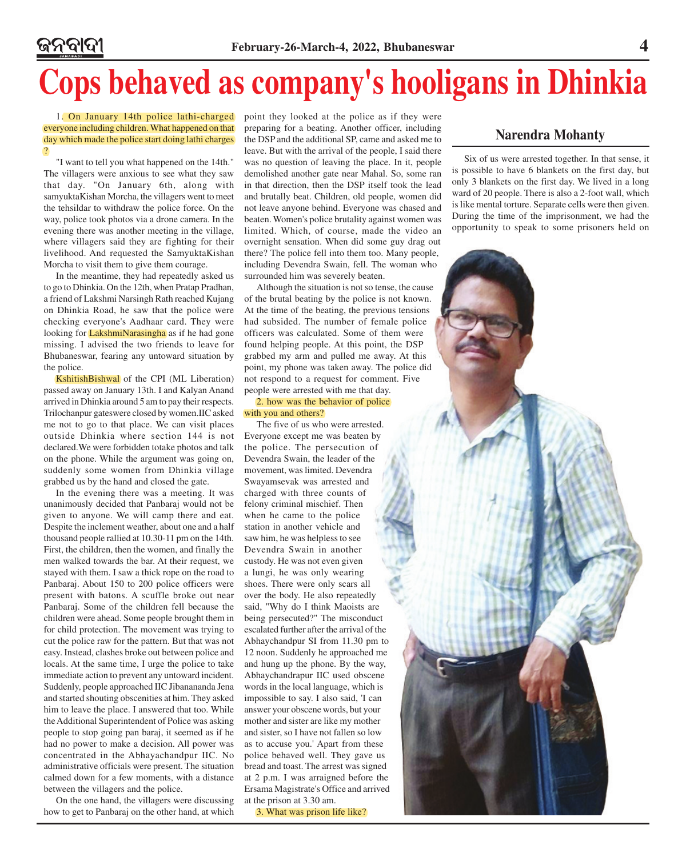# **Cops behaved as company's hooligans in Dhinkia**

1. On January 14th police lathi-charged everyone including children. What happened on that day which made the police start doing lathi charges ?

"I want to tell you what happened on the 14th." The villagers were anxious to see what they saw that day. "On January 6th, along with samyuktaKishan Morcha, the villagers went to meet the tehsildar to withdraw the police force. On the way, police took photos via a drone camera. In the evening there was another meeting in the village, where villagers said they are fighting for their livelihood. And requested the SamyuktaKishan Morcha to visit them to give them courage.

In the meantime, they had repeatedly asked us to go to Dhinkia. On the 12th, when Pratap Pradhan, a friend of Lakshmi Narsingh Rath reached Kujang on Dhinkia Road, he saw that the police were checking everyone's Aadhaar card. They were looking for **LakshmiNarasingha** as if he had gone missing. I advised the two friends to leave for Bhubaneswar, fearing any untoward situation by the police.

KshitishBishwal of the CPI (ML Liberation) passed away on January 13th. I and Kalyan Anand arrived in Dhinkia around 5 am to pay their respects. Trilochanpur gateswere closed by women.IIC asked me not to go to that place. We can visit places outside Dhinkia where section 144 is not declared.We were forbidden totake photos and talk on the phone. While the argument was going on, suddenly some women from Dhinkia village grabbed us by the hand and closed the gate.

In the evening there was a meeting. It was unanimously decided that Panbaraj would not be given to anyone. We will camp there and eat. Despite the inclement weather, about one and a half thousand people rallied at 10.30-11 pm on the 14th. First, the children, then the women, and finally the men walked towards the bar. At their request, we stayed with them. I saw a thick rope on the road to Panbaraj. About 150 to 200 police officers were present with batons. A scuffle broke out near Panbaraj. Some of the children fell because the children were ahead. Some people brought them in for child protection. The movement was trying to cut the police raw for the pattern. But that was not easy. Instead, clashes broke out between police and locals. At the same time, I urge the police to take immediate action to prevent any untoward incident. Suddenly, people approached IIC Jibanananda Jena and started shouting obscenities at him. They asked him to leave the place. I answered that too. While the Additional Superintendent of Police was asking people to stop going pan baraj, it seemed as if he had no power to make a decision. All power was concentrated in the Abhayachandpur IIC. No administrative officials were present. The situation calmed down for a few moments, with a distance between the villagers and the police.

On the one hand, the villagers were discussing how to get to Panbaraj on the other hand, at which point they looked at the police as if they were preparing for a beating. Another officer, including the DSP and the additional SP, came and asked me to leave. But with the arrival of the people, I said there was no question of leaving the place. In it, people demolished another gate near Mahal. So, some ran in that direction, then the DSP itself took the lead and brutally beat. Children, old people, women did not leave anyone behind. Everyone was chased and beaten. Women's police brutality against women was limited. Which, of course, made the video an overnight sensation. When did some guy drag out there? The police fell into them too. Many people, including Devendra Swain, fell. The woman who surrounded him was severely beaten.

Although the situation is not so tense, the cause of the brutal beating by the police is not known. At the time of the beating, the previous tensions had subsided. The number of female police officers was calculated. Some of them were found helping people. At this point, the DSP grabbed my arm and pulled me away. At this point, my phone was taken away. The police did not respond to a request for comment. Five people were arrested with me that day.

### 2. how was the behavior of police with you and others?

The five of us who were arrested. Everyone except me was beaten by the police. The persecution of Devendra Swain, the leader of the movement, was limited. Devendra Swayamsevak was arrested and charged with three counts of felony criminal mischief. Then when he came to the police station in another vehicle and saw him, he was helpless to see Devendra Swain in another custody. He was not even given a lungi, he was only wearing shoes. There were only scars all over the body. He also repeatedly said, "Why do I think Maoists are being persecuted?" The misconduct escalated further after the arrival of the Abhaychandpur SI from 11.30 pm to 12 noon. Suddenly he approached me and hung up the phone. By the way, Abhaychandrapur IIC used obscene words in the local language, which is impossible to say. I also said, 'I can answer your obscene words, but your mother and sister are like my mother and sister, so I have not fallen so low as to accuse you.' Apart from these police behaved well. They gave us bread and toast. The arrest was signed at 2 p.m. I was arraigned before the Ersama Magistrate's Office and arrived at the prison at 3.30 am.

3. What was prison life like?

### **Narendra Mohanty**

Six of us were arrested together. In that sense, it is possible to have 6 blankets on the first day, but only 3 blankets on the first day. We lived in a long ward of 20 people. There is also a 2-foot wall, which is like mental torture. Separate cells were then given. During the time of the imprisonment, we had the opportunity to speak to some prisoners held on

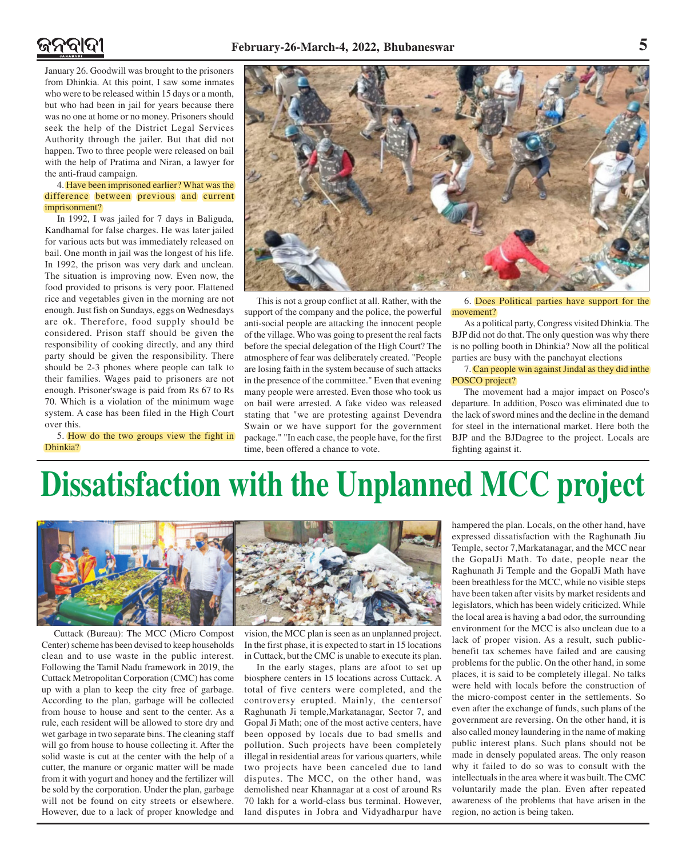January 26. Goodwill was brought to the prisoners from Dhinkia. At this point, I saw some inmates who were to be released within 15 days or a month, but who had been in jail for years because there was no one at home or no money. Prisoners should seek the help of the District Legal Services Authority through the jailer. But that did not happen. Two to three people were released on bail with the help of Pratima and Niran, a lawyer for the anti-fraud campaign.

### 4. Have been imprisoned earlier? What was the difference between previous and current imprisonment?

In 1992, I was jailed for 7 days in Baliguda, Kandhamal for false charges. He was later jailed for various acts but was immediately released on bail. One month in jail was the longest of his life. In 1992, the prison was very dark and unclean. The situation is improving now. Even now, the food provided to prisons is very poor. Flattened rice and vegetables given in the morning are not enough. Just fish on Sundays, eggs on Wednesdays are ok. Therefore, food supply should be considered. Prison staff should be given the responsibility of cooking directly, and any third party should be given the responsibility. There should be 2-3 phones where people can talk to their families. Wages paid to prisoners are not enough. Prisoner'swage is paid from Rs 67 to Rs 70. Which is a violation of the minimum wage system. A case has been filed in the High Court over this.

5. How do the two groups view the fight in Dhinkia?



This is not a group conflict at all. Rather, with the support of the company and the police, the powerful anti-social people are attacking the innocent people of the village. Who was going to present the real facts before the special delegation of the High Court? The atmosphere of fear was deliberately created. "People are losing faith in the system because of such attacks in the presence of the committee." Even that evening many people were arrested. Even those who took us on bail were arrested. A fake video was released stating that "we are protesting against Devendra Swain or we have support for the government package." "In each case, the people have, for the first time, been offered a chance to vote.

6. Does Political parties have support for the movement?

As a political party, Congress visited Dhinkia. The BJP did not do that. The only question was why there is no polling booth in Dhinkia? Now all the political parties are busy with the panchayat elections

### 7. Can people win against Jindal as they did inthe POSCO project?

The movement had a major impact on Posco's departure. In addition, Posco was eliminated due to the lack of sword mines and the decline in the demand for steel in the international market. Here both the BJP and the BJDagree to the project. Locals are fighting against it.

# **Dissatisfaction with the Unplanned MCC project**



Cuttack (Bureau): The MCC (Micro Compost Center) scheme has been devised to keep households clean and to use waste in the public interest. Following the Tamil Nadu framework in 2019, the Cuttack Metropolitan Corporation (CMC) has come up with a plan to keep the city free of garbage. According to the plan, garbage will be collected from house to house and sent to the center. As a rule, each resident will be allowed to store dry and wet garbage in two separate bins. The cleaning staff will go from house to house collecting it. After the solid waste is cut at the center with the help of a cutter, the manure or organic matter will be made from it with yogurt and honey and the fertilizer will be sold by the corporation. Under the plan, garbage will not be found on city streets or elsewhere. However, due to a lack of proper knowledge and

vision, the MCC plan is seen as an unplanned project. In the first phase, it is expected to start in 15 locations in Cuttack, but the CMC is unable to execute its plan.

In the early stages, plans are afoot to set up biosphere centers in 15 locations across Cuttack. A total of five centers were completed, and the controversy erupted. Mainly, the centersof Raghunath Ji temple,Markatanagar, Sector 7, and Gopal Ji Math; one of the most active centers, have been opposed by locals due to bad smells and pollution. Such projects have been completely illegal in residential areas for various quarters, while two projects have been canceled due to land disputes. The MCC, on the other hand, was demolished near Khannagar at a cost of around Rs 70 lakh for a world-class bus terminal. However, land disputes in Jobra and Vidyadharpur have

hampered the plan. Locals, on the other hand, have expressed dissatisfaction with the Raghunath Jiu Temple, sector 7,Markatanagar, and the MCC near the GopalJi Math. To date, people near the Raghunath Ji Temple and the GopalJi Math have been breathless for the MCC, while no visible steps have been taken after visits by market residents and legislators, which has been widely criticized. While the local area is having a bad odor, the surrounding environment for the MCC is also unclean due to a lack of proper vision. As a result, such publicbenefit tax schemes have failed and are causing problems for the public. On the other hand, in some places, it is said to be completely illegal. No talks were held with locals before the construction of the micro-compost center in the settlements. So even after the exchange of funds, such plans of the government are reversing. On the other hand, it is also called money laundering in the name of making public interest plans. Such plans should not be made in densely populated areas. The only reason why it failed to do so was to consult with the intellectuals in the area where it was built. The CMC voluntarily made the plan. Even after repeated awareness of the problems that have arisen in the region, no action is being taken.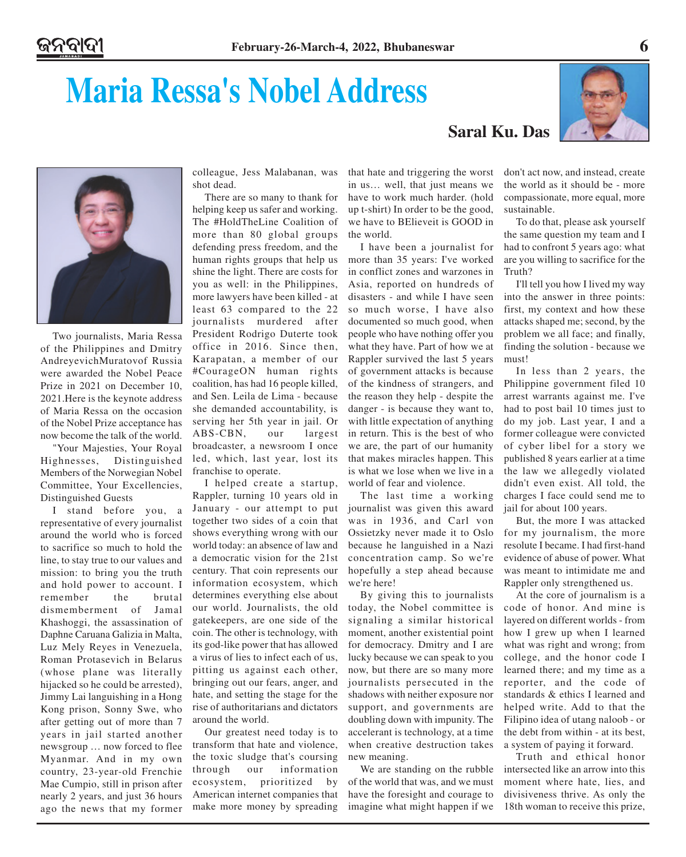# **Maria Ressa's Nobel Address**

### **Saral Ku. Das**





Two journalists, Maria Ressa of the Philippines and Dmitry AndreyevichMuratovof Russia were awarded the Nobel Peace Prize in 2021 on December 10, 2021.Here is the keynote address of Maria Ressa on the occasion of the Nobel Prize acceptance has now become the talk of the world.

"Your Majesties, Your Royal Highnesses, Distinguished Members of the Norwegian Nobel Committee, Your Excellencies, Distinguished Guests

I stand before you, a representative of every journalist around the world who is forced to sacrifice so much to hold the line, to stay true to our values and mission: to bring you the truth and hold power to account. I remember the brutal dismemberment of Jamal Khashoggi, the assassination of Daphne Caruana Galizia in Malta, Luz Mely Reyes in Venezuela, Roman Protasevich in Belarus (whose plane was literally hijacked so he could be arrested), Jimmy Lai languishing in a Hong Kong prison, Sonny Swe, who after getting out of more than 7 years in jail started another newsgroup … now forced to flee Myanmar. And in my own country, 23-year-old Frenchie Mae Cumpio, still in prison after nearly 2 years, and just 36 hours ago the news that my former

colleague, Jess Malabanan, was shot dead.

There are so many to thank for helping keep us safer and working. The #HoldTheLine Coalition of more than 80 global groups defending press freedom, and the human rights groups that help us shine the light. There are costs for you as well: in the Philippines, more lawyers have been killed - at least 63 compared to the 22 journalists murdered after President Rodrigo Duterte took office in 2016. Since then, Karapatan, a member of our #CourageON human rights coalition, has had 16 people killed, and Sen. Leila de Lima - because she demanded accountability, is serving her 5th year in jail. Or ABS-CBN, our largest broadcaster, a newsroom I once led, which, last year, lost its franchise to operate.

I helped create a startup, Rappler, turning 10 years old in January - our attempt to put together two sides of a coin that shows everything wrong with our world today: an absence of law and a democratic vision for the 21st century. That coin represents our information ecosystem, which determines everything else about our world. Journalists, the old gatekeepers, are one side of the coin. The other is technology, with its god-like power that has allowed a virus of lies to infect each of us, pitting us against each other, bringing out our fears, anger, and hate, and setting the stage for the rise of authoritarians and dictators around the world.

Our greatest need today is to transform that hate and violence, the toxic sludge that's coursing through our information ecosystem, prioritized by American internet companies that make more money by spreading

that hate and triggering the worst in us… well, that just means we have to work much harder. (hold up t-shirt) In order to be the good, we have to BElieveit is GOOD in the world.

I have been a journalist for more than 35 years: I've worked in conflict zones and warzones in Asia, reported on hundreds of disasters - and while I have seen so much worse, I have also documented so much good, when people who have nothing offer you what they have. Part of how we at Rappler survived the last 5 years of government attacks is because of the kindness of strangers, and the reason they help - despite the danger - is because they want to, with little expectation of anything in return. This is the best of who we are, the part of our humanity that makes miracles happen. This is what we lose when we live in a world of fear and violence.

The last time a working journalist was given this award was in 1936, and Carl von Ossietzky never made it to Oslo because he languished in a Nazi concentration camp. So we're hopefully a step ahead because we're here!

By giving this to journalists today, the Nobel committee is signaling a similar historical moment, another existential point for democracy. Dmitry and I are lucky because we can speak to you now, but there are so many more journalists persecuted in the shadows with neither exposure nor support, and governments are doubling down with impunity. The accelerant is technology, at a time when creative destruction takes new meaning.

We are standing on the rubble of the world that was, and we must have the foresight and courage to imagine what might happen if we don't act now, and instead, create the world as it should be - more compassionate, more equal, more sustainable.

To do that, please ask yourself the same question my team and I had to confront 5 years ago: what are you willing to sacrifice for the Truth?

I'll tell you how I lived my way into the answer in three points: first, my context and how these attacks shaped me; second, by the problem we all face; and finally, finding the solution - because we must!

In less than 2 years, the Philippine government filed 10 arrest warrants against me. I've had to post bail 10 times just to do my job. Last year, I and a former colleague were convicted of cyber libel for a story we published 8 years earlier at a time the law we allegedly violated didn't even exist. All told, the charges I face could send me to jail for about 100 years.

But, the more I was attacked for my journalism, the more resolute I became. I had first-hand evidence of abuse of power. What was meant to intimidate me and Rappler only strengthened us.

At the core of journalism is a code of honor. And mine is layered on different worlds - from how I grew up when I learned what was right and wrong; from college, and the honor code I learned there; and my time as a reporter, and the code of standards & ethics I learned and helped write. Add to that the Filipino idea of utang naloob - or the debt from within - at its best, a system of paying it forward.

Truth and ethical honor intersected like an arrow into this moment where hate, lies, and divisiveness thrive. As only the 18th woman to receive this prize,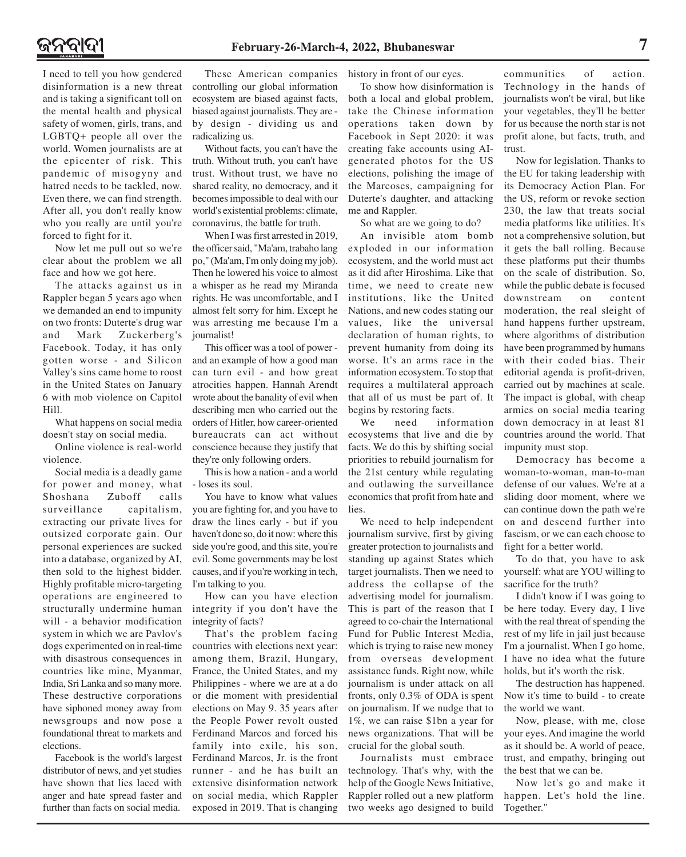I need to tell you how gendered disinformation is a new threat and is taking a significant toll on the mental health and physical safety of women, girls, trans, and LGBTQ+ people all over the world. Women journalists are at the epicenter of risk. This pandemic of misogyny and hatred needs to be tackled, now. Even there, we can find strength. After all, you don't really know who you really are until you're forced to fight for it.

Now let me pull out so we're clear about the problem we all face and how we got here.

The attacks against us in Rappler began 5 years ago when we demanded an end to impunity on two fronts: Duterte's drug war and Mark Zuckerberg's Facebook. Today, it has only gotten worse - and Silicon Valley's sins came home to roost in the United States on January 6 with mob violence on Capitol Hill.

What happens on social media doesn't stay on social media.

Online violence is real-world violence.

Social media is a deadly game for power and money, what Shoshana Zuboff calls surveillance capitalism, extracting our private lives for outsized corporate gain. Our personal experiences are sucked into a database, organized by AI, then sold to the highest bidder. Highly profitable micro-targeting operations are engineered to structurally undermine human will - a behavior modification system in which we are Pavlov's dogs experimented on in real-time with disastrous consequences in countries like mine, Myanmar, India, Sri Lanka and so many more. These destructive corporations have siphoned money away from newsgroups and now pose a foundational threat to markets and elections.

Facebook is the world's largest distributor of news, and yet studies have shown that lies laced with anger and hate spread faster and further than facts on social media.

These American companies controlling our global information ecosystem are biased against facts, biased against journalists. They are by design - dividing us and radicalizing us.

Without facts, you can't have the truth. Without truth, you can't have trust. Without trust, we have no shared reality, no democracy, and it becomes impossible to deal with our world's existential problems: climate, coronavirus, the battle for truth.

When I was first arrested in 2019, the officer said, "Ma'am, trabaho lang po," (Ma'am, I'm only doing my job). Then he lowered his voice to almost a whisper as he read my Miranda rights. He was uncomfortable, and I almost felt sorry for him. Except he was arresting me because I'm a journalist!

This officer was a tool of power and an example of how a good man can turn evil - and how great atrocities happen. Hannah Arendt wrote about the banality of evil when describing men who carried out the orders of Hitler, how career-oriented bureaucrats can act without conscience because they justify that they're only following orders.

This is how a nation - and a world - loses its soul.

You have to know what values you are fighting for, and you have to draw the lines early - but if you haven't done so, do it now: where this side you're good, and this site, you're evil. Some governments may be lost causes, and if you're working in tech, I'm talking to you.

How can you have election integrity if you don't have the integrity of facts?

That's the problem facing countries with elections next year: among them, Brazil, Hungary, France, the United States, and my Philippines - where we are at a do or die moment with presidential elections on May 9. 35 years after the People Power revolt ousted Ferdinand Marcos and forced his family into exile, his son, Ferdinand Marcos, Jr. is the front runner - and he has built an extensive disinformation network on social media, which Rappler exposed in 2019. That is changing history in front of our eyes.

To show how disinformation is both a local and global problem, take the Chinese information operations taken down by Facebook in Sept 2020: it was creating fake accounts using AIgenerated photos for the US elections, polishing the image of the Marcoses, campaigning for Duterte's daughter, and attacking me and Rappler.

So what are we going to do?

An invisible atom bomb exploded in our information ecosystem, and the world must act as it did after Hiroshima. Like that time, we need to create new institutions, like the United Nations, and new codes stating our values, like the universal declaration of human rights, to prevent humanity from doing its worse. It's an arms race in the information ecosystem. To stop that requires a multilateral approach that all of us must be part of. It begins by restoring facts.

We need information ecosystems that live and die by facts. We do this by shifting social priorities to rebuild journalism for the 21st century while regulating and outlawing the surveillance economics that profit from hate and lies.

We need to help independent journalism survive, first by giving greater protection to journalists and standing up against States which target journalists. Then we need to address the collapse of the advertising model for journalism. This is part of the reason that I agreed to co-chair the International Fund for Public Interest Media, which is trying to raise new money from overseas development assistance funds. Right now, while journalism is under attack on all fronts, only 0.3% of ODA is spent on journalism. If we nudge that to 1%, we can raise \$1bn a year for news organizations. That will be crucial for the global south.

Journalists must embrace technology. That's why, with the help of the Google News Initiative, Rappler rolled out a new platform two weeks ago designed to build communities of action. Technology in the hands of journalists won't be viral, but like your vegetables, they'll be better for us because the north star is not profit alone, but facts, truth, and trust.

Now for legislation. Thanks to the EU for taking leadership with its Democracy Action Plan. For the US, reform or revoke section 230, the law that treats social media platforms like utilities. It's not a comprehensive solution, but it gets the ball rolling. Because these platforms put their thumbs on the scale of distribution. So, while the public debate is focused downstream on content moderation, the real sleight of hand happens further upstream, where algorithms of distribution have been programmed by humans with their coded bias. Their editorial agenda is profit-driven, carried out by machines at scale. The impact is global, with cheap armies on social media tearing down democracy in at least 81 countries around the world. That impunity must stop.

Democracy has become a woman-to-woman, man-to-man defense of our values. We're at a sliding door moment, where we can continue down the path we're on and descend further into fascism, or we can each choose to fight for a better world.

To do that, you have to ask yourself: what are YOU willing to sacrifice for the truth?

I didn't know if I was going to be here today. Every day, I live with the real threat of spending the rest of my life in jail just because I'm a journalist. When I go home, I have no idea what the future holds, but it's worth the risk.

The destruction has happened. Now it's time to build - to create the world we want.

Now, please, with me, close your eyes. And imagine the world as it should be. A world of peace, trust, and empathy, bringing out the best that we can be.

Now let's go and make it happen. Let's hold the line. Together."